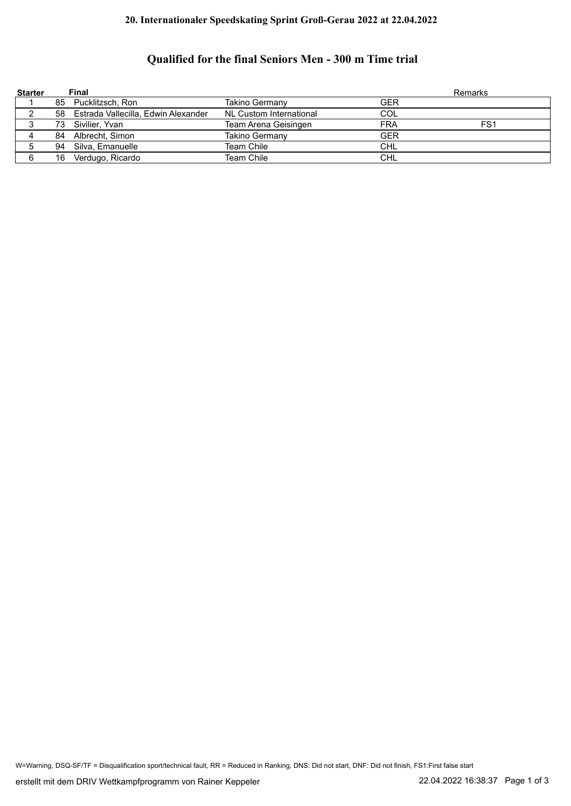## **20. Internationaler Speedskating Sprint Groß-Gerau 2022 at 22.04.2022**

## **Qualified for the final Seniors Men - 300 m Time trial**

| <b>Starter</b> |    | Final                                  |                         | Remarks    |     |
|----------------|----|----------------------------------------|-------------------------|------------|-----|
|                | 85 | Pucklitzsch, Ron                       | Takino Germany          | GER        |     |
|                |    | 58 Estrada Vallecilla, Edwin Alexander | NL Custom International | COL        |     |
|                | 73 | Sivilier. Yvan                         | Team Arena Geisingen    | <b>FRA</b> | FS1 |
|                | 84 | Albrecht, Simon                        | Takino Germany          | <b>GER</b> |     |
|                | 94 | Silva, Emanuelle                       | <b>Team Chile</b>       | <b>CHL</b> |     |
|                | 16 | Verdugo, Ricardo                       | <b>Team Chile</b>       | <b>CHL</b> |     |

W=Warning, DSQ-SF/TF = Disqualification sport/technical fault, RR = Reduced in Ranking, DNS: Did not start, DNF: Did not finish, FS1:First false start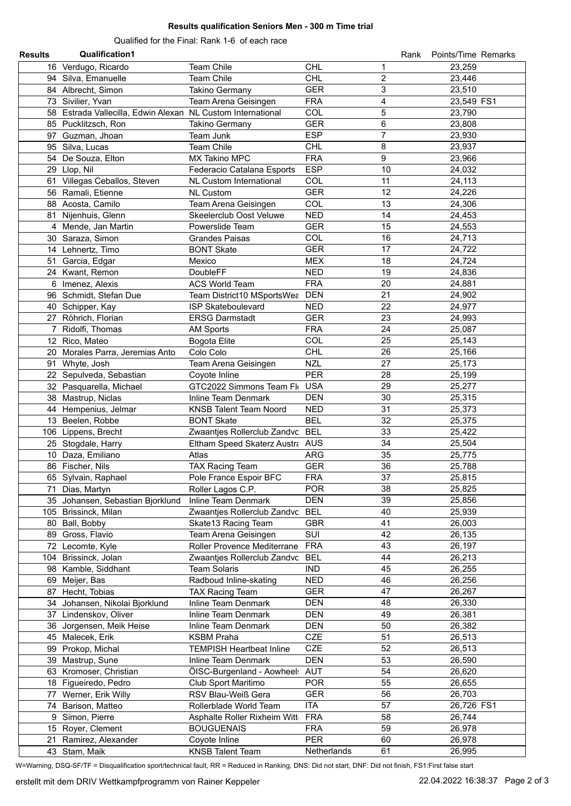## **Results qualification Seniors Men - 300 m Time trial**

Qualified for the Final: Rank 1-6 of each race

| <b>Results</b> | <b>Qualification1</b>                                       |                                 |             | Rank                    | Points/Time Remarks |
|----------------|-------------------------------------------------------------|---------------------------------|-------------|-------------------------|---------------------|
|                | 16 Verdugo, Ricardo                                         | Team Chile                      | <b>CHL</b>  | 1                       | 23,259              |
|                | 94 Silva, Emanuelle                                         | Team Chile                      | <b>CHL</b>  | $\overline{c}$          | 23,446              |
|                | 84 Albrecht, Simon                                          | Takino Germany                  | <b>GER</b>  | 3                       | 23,510              |
|                | 73 Sivilier, Yvan                                           | Team Arena Geisingen            | <b>FRA</b>  | $\overline{\mathbf{4}}$ | 23,549 FS1          |
|                | 58 Estrada Vallecilla, Edwin Alexan NL Custom International |                                 | COL         | 5                       | 23,790              |
|                | 85 Pucklitzsch, Ron                                         | <b>Takino Germany</b>           | <b>GER</b>  | 6                       | 23,808              |
|                | 97 Guzman, Jhoan                                            | Team Junk                       | <b>ESP</b>  | $\overline{7}$          | 23,930              |
|                | 95 Silva, Lucas                                             | Team Chile                      | <b>CHL</b>  | 8                       | 23,937              |
|                | 54 De Souza, Elton                                          | <b>MX Takino MPC</b>            | <b>FRA</b>  | 9                       | 23,966              |
|                | 29 Llop, Nil                                                | Federacio Catalana Esports      | <b>ESP</b>  | 10                      | 24,032              |
|                | 61 Villegas Ceballos, Steven                                | <b>NL Custom International</b>  | <b>COL</b>  | 11                      | 24,113              |
|                | 56 Ramali, Etienne                                          | <b>NL Custom</b>                | <b>GER</b>  | 12                      | 24,226              |
|                | 88 Acosta, Camilo                                           | Team Arena Geisingen            | COL         | 13                      | 24,306              |
|                | 81 Nijenhuis, Glenn                                         | Skeelerclub Oost Veluwe         | <b>NED</b>  | 14                      | 24,453              |
|                | 4 Mende, Jan Martin                                         | Powerslide Team                 | <b>GER</b>  | 15                      | 24,553              |
|                | 30 Saraza, Simon                                            | <b>Grandes Paisas</b>           | COL         | 16                      | 24,713              |
|                | 14 Lehnertz, Timo                                           | <b>BONT Skate</b>               | <b>GER</b>  | 17                      | 24,722              |
|                | 51 Garcia, Edgar                                            | Mexico                          | <b>MEX</b>  | 18                      | 24,724              |
|                | 24 Kwant, Remon                                             | DoubleFF                        | <b>NED</b>  | 19                      | 24,836              |
|                | 6 Imenez, Alexis                                            | <b>ACS World Team</b>           | <b>FRA</b>  | 20                      | 24,881              |
|                | 96 Schmidt, Stefan Due                                      | Team District10 MSportsWea DEN  |             | 21                      | 24,902              |
|                | 40 Schipper, Kay                                            | <b>ISP Skateboulevard</b>       | <b>NED</b>  | 22                      | 24,977              |
|                | 27 Röhrich, Florian                                         | <b>ERSG Darmstadt</b>           | <b>GER</b>  | 23                      | 24,993              |
|                | 7 Ridolfi, Thomas                                           | <b>AM Sports</b>                | <b>FRA</b>  | 24                      | 25,087              |
|                | 12 Rico, Mateo                                              | <b>Bogota Elite</b>             | COL         | 25                      | 25,143              |
|                | 20 Morales Parra, Jeremias Anto                             | Colo Colo                       | <b>CHL</b>  | 26                      | 25,166              |
| 91             | Whyte, Josh                                                 | Team Arena Geisingen            | <b>NZL</b>  | 27                      | 25,173              |
|                | 22 Sepulveda, Sebastian                                     | Coyote Inline                   | <b>PER</b>  | 28                      | 25,199              |
|                | 32 Pasquarella, Michael                                     | GTC2022 Simmons Team Flo        | <b>USA</b>  | 29                      | 25,277              |
|                | 38 Mastrup, Niclas                                          | Inline Team Denmark             | <b>DEN</b>  | 30                      | 25,315              |
|                |                                                             | <b>KNSB Talent Team Noord</b>   | <b>NED</b>  | 31                      | 25,373              |
|                | 44 Hempenius, Jelmar<br>13 Beelen, Robbe                    | <b>BONT Skate</b>               | <b>BEL</b>  | 32                      | 25,375              |
|                |                                                             | Zwaantjes Rollerclub Zandvc     | <b>BEL</b>  | 33                      | 25,422              |
|                | 106 Lippens, Brecht                                         | Eltham Speed Skaterz Austra AUS |             | 34                      | 25,504              |
|                | 25 Stogdale, Harry<br>10 Daza, Emiliano                     |                                 | <b>ARG</b>  | 35                      | 25,775              |
|                | 86 Fischer, Nils                                            | Atlas                           | <b>GER</b>  | 36                      | 25,788              |
|                |                                                             | <b>TAX Racing Team</b>          | <b>FRA</b>  | 37                      |                     |
|                | 65 Sylvain, Raphael                                         | Pole France Espoir BFC          | <b>POR</b>  | 38                      | 25,815              |
|                | 71 Dias, Martyn                                             | Roller Lagos C.P.               |             |                         | 25,825              |
|                | 35 Johansen, Sebastian Bjorklund                            | Inline Team Denmark             | <b>DEN</b>  | 39                      | 25,856              |
|                | 105 Brissinck, Milan                                        | Zwaantjes Rollerclub Zandvc     | <b>BEL</b>  | 40                      | 25,939              |
|                | 80 Ball, Bobby                                              | Skate13 Racing Team             | <b>GBR</b>  | 41                      | 26,003              |
|                | 89 Gross, Flavio                                            | Team Arena Geisingen            | SUI         | 42                      | 26,135              |
|                | 72 Lecomte, Kyle                                            | Roller Provence Mediterrane     | <b>FRA</b>  | 43                      | 26,197              |
| 104            | Brissinck, Jolan                                            | Zwaantjes Rollerclub Zandvc     | <b>BEL</b>  | 44                      | 26,213              |
|                | 98 Kamble, Siddhant                                         | <b>Team Solaris</b>             | <b>IND</b>  | 45                      | 26,255              |
| 69             | Meijer, Bas                                                 | Radboud Inline-skating          | <b>NED</b>  | 46                      | 26,256              |
| 87             | Hecht, Tobias                                               | <b>TAX Racing Team</b>          | <b>GER</b>  | 47                      | 26,267              |
|                | 34 Johansen, Nikolai Bjorklund                              | Inline Team Denmark             | <b>DEN</b>  | 48                      | 26,330              |
| 37             | Lindenskov, Oliver                                          | Inline Team Denmark             | <b>DEN</b>  | 49                      | 26,381              |
|                | 36 Jorgensen, Meik Heise                                    | Inline Team Denmark             | <b>DEN</b>  | 50                      | 26,382              |
|                | 45 Malecek, Erik                                            | <b>KSBM Praha</b>               | <b>CZE</b>  | 51                      | 26,513              |
|                | 99 Prokop, Michal                                           | <b>TEMPISH Heartbeat Inline</b> | <b>CZE</b>  | 52                      | 26,513              |
|                | 39 Mastrup, Sune                                            | Inline Team Denmark             | <b>DEN</b>  | 53                      | 26,590              |
|                | 63 Kromoser, Christian                                      | ÖISC-Burgenland - Aowheel:      | AUT         | 54                      | 26,620              |
|                | 18 Figueiredo, Pedro                                        | Club Sport Maritimo             | <b>POR</b>  | 55                      | 26,655              |
|                | 77 Werner, Erik Willy                                       | RSV Blau-Weiß Gera              | <b>GER</b>  | 56                      | 26,703              |
|                | 74 Barison, Matteo                                          | Rollerblade World Team          | <b>ITA</b>  | 57                      | 26,726 FS1          |
|                | 9 Simon, Pierre                                             | Asphalte Roller Rixheim Witt    | <b>FRA</b>  | 58                      | 26,744              |
|                | 15 Royer, Clement                                           | <b>BOUGUENAIS</b>               | <b>FRA</b>  | 59                      | 26,978              |
|                | 21 Ramirez, Alexander                                       | Coyote Inline                   | <b>PER</b>  | 60                      | 26,978              |
|                | 43 Stam, Maik                                               | <b>KNSB Talent Team</b>         | Netherlands | 61                      | 26,995              |

W=Warning, DSQ-SF/TF = Disqualification sport/technical fault, RR = Reduced in Ranking, DNS: Did not start, DNF: Did not finish, FS1:First false start